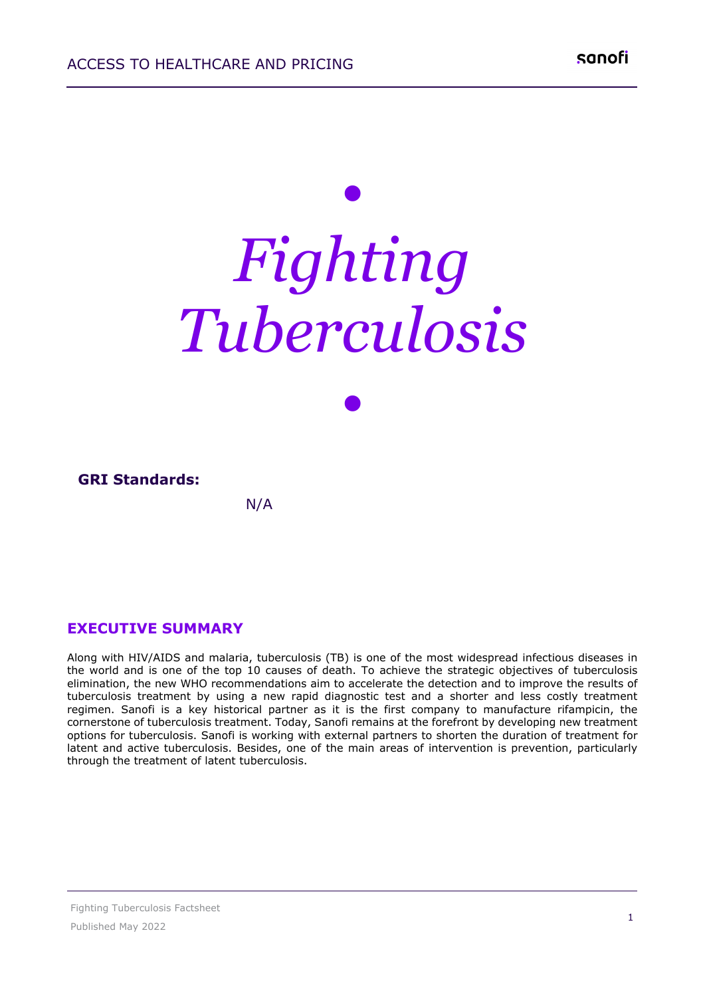# *• Fighting Tuberculosis*

| <b>GRI Standards:</b> |     |  |
|-----------------------|-----|--|
|                       | N/A |  |

*•*

## **EXECUTIVE SUMMARY**

Along with HIV/AIDS and malaria, tuberculosis (TB) is one of the most widespread infectious diseases in the world and is one of the top 10 causes of death. To achieve the strategic objectives of tuberculosis elimination, the new WHO recommendations aim to accelerate the detection and to improve the results of tuberculosis treatment by using a new rapid diagnostic test and a shorter and less costly treatment regimen. Sanofi is a key historical partner as it is the first company to manufacture rifampicin, the cornerstone of tuberculosis treatment. Today, Sanofi remains at the forefront by developing new treatment options for tuberculosis. Sanofi is working with external partners to shorten the duration of treatment for latent and active tuberculosis. Besides, one of the main areas of intervention is prevention, particularly through the treatment of latent tuberculosis.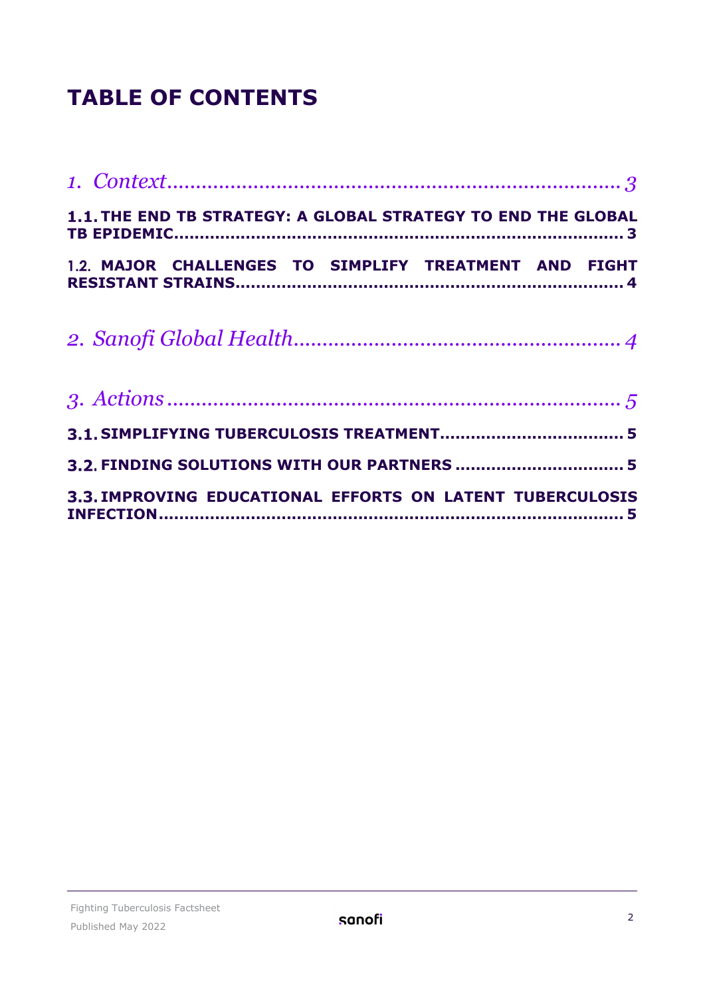## **TABLE OF CONTENTS**

| 1.1. THE END TB STRATEGY: A GLOBAL STRATEGY TO END THE GLOBAL |
|---------------------------------------------------------------|
| 1.2. MAJOR CHALLENGES TO SIMPLIFY TREATMENT AND FIGHT         |
|                                                               |
|                                                               |
|                                                               |
|                                                               |
| 3.3. IMPROVING EDUCATIONAL EFFORTS ON LATENT TUBERCULOSIS     |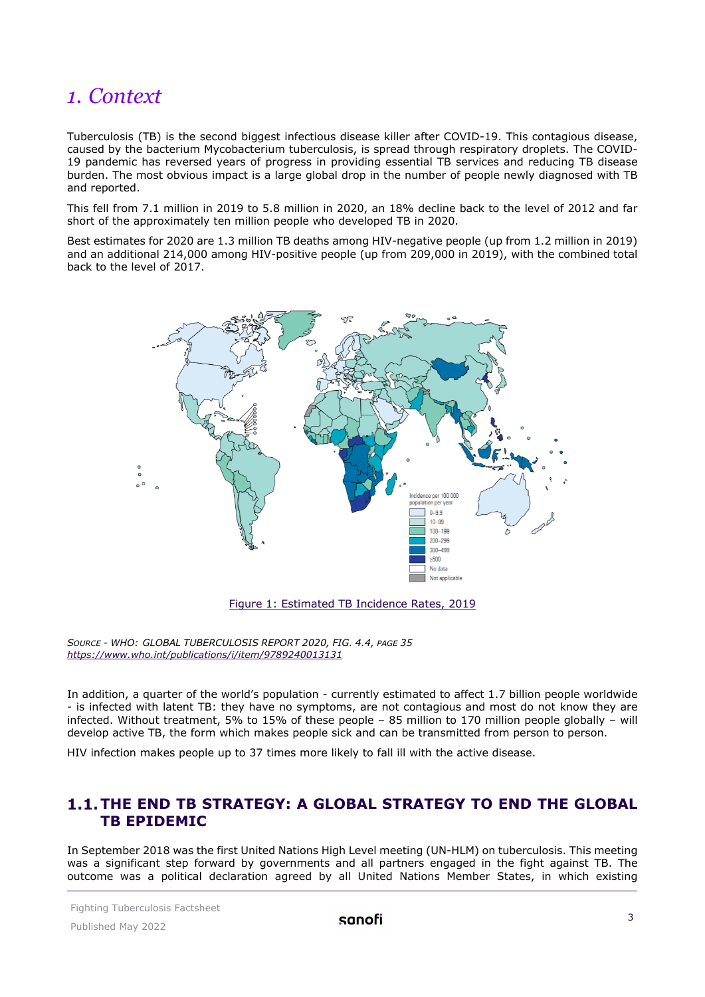## <span id="page-2-0"></span>*1. Context*

Tuberculosis (TB) is the second biggest infectious disease killer after COVID-19. This contagious disease, caused by the bacterium Mycobacterium tuberculosis, is spread through respiratory droplets. The COVID-19 pandemic has reversed years of progress in providing essential TB services and reducing TB disease burden. The most obvious impact is a large global drop in the number of people newly diagnosed with TB and reported.

This fell from 7.1 million in 2019 to 5.8 million in 2020, an 18% decline back to the level of 2012 and far short of the approximately ten million people who developed TB in 2020.

Best estimates for 2020 are 1.3 million TB deaths among HIV-negative people (up from 1.2 million in 2019) and an additional 214,000 among HIV-positive people (up from 209,000 in 2019), with the combined total back to the level of 2017.



Figure 1: Estimated TB Incidence Rates, 2019

*SOURCE - WHO: GLOBAL TUBERCULOSIS REPORT 2020, FIG. 4.4, PAGE 35 <https://www.who.int/publications/i/item/9789240013131>*

In addition, a quarter of the world's population - currently estimated to affect 1.7 billion people worldwide - is infected with latent TB: they have no symptoms, are not contagious and most do not know they are infected. Without treatment, 5% to 15% of these people – 85 million to 170 million people globally – will develop active TB, the form which makes people sick and can be transmitted from person to person.

<span id="page-2-1"></span>HIV infection makes people up to 37 times more likely to fall ill with the active disease.

### **T.1. THE END TB STRATEGY: A GLOBAL STRATEGY TO END THE GLOBAL TB EPIDEMIC**

In September 2018 was the first United Nations High Level meeting (UN-HLM) on tuberculosis. This meeting was a significant step forward by governments and all partners engaged in the fight against TB. The outcome was a political declaration agreed by all United Nations Member States, in which existing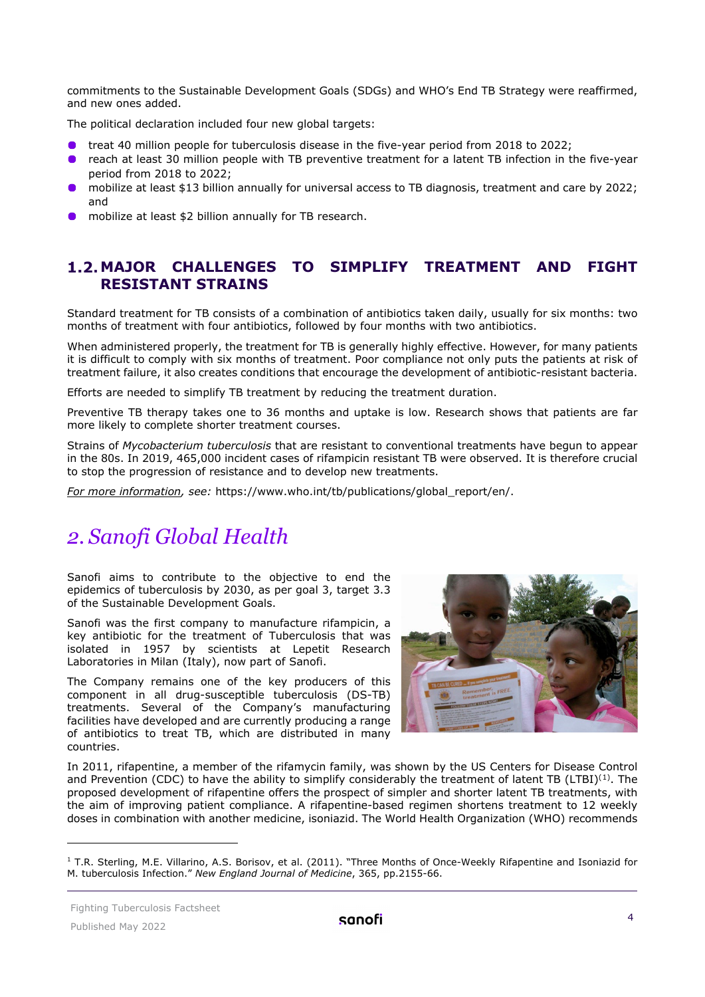commitments to the Sustainable Development Goals (SDGs) and WHO's End TB Strategy were reaffirmed, and new ones added.

The political declaration included four new global targets:

- **•** treat 40 million people for tuberculosis disease in the five-year period from 2018 to 2022;
- reach at least 30 million people with TB preventive treatment for a latent TB infection in the five-year period from 2018 to 2022;
- mobilize at least \$13 billion annually for universal access to TB diagnosis, treatment and care by 2022; and
- mobilize at least \$2 billion annually for TB research.

### <span id="page-3-0"></span>**MAJOR CHALLENGES TO SIMPLIFY TREATMENT AND FIGHT RESISTANT STRAINS**

Standard treatment for TB consists of a combination of antibiotics taken daily, usually for six months: two months of treatment with four antibiotics, followed by four months with two antibiotics.

When administered properly, the treatment for TB is generally highly effective. However, for many patients it is difficult to comply with six months of treatment. Poor compliance not only puts the patients at risk of treatment failure, it also creates conditions that encourage the development of antibiotic-resistant bacteria.

Efforts are needed to simplify TB treatment by reducing the treatment duration.

Preventive TB therapy takes one to 36 months and uptake is low. Research shows that patients are far more likely to complete shorter treatment courses.

Strains of *Mycobacterium tuberculosis* that are resistant to conventional treatments have begun to appear in the 80s. In 2019, 465,000 incident cases of rifampicin resistant TB were observed. It is therefore crucial to stop the progression of resistance and to develop new treatments.

*For more information, see:* [https://www.who.int/tb/publications/global\\_report/en/.](https://www.who.int/tb/publications/global_report/en/)

## <span id="page-3-1"></span>*2. Sanofi Global Health*

Sanofi aims to contribute to the objective to end the epidemics of tuberculosis by 2030, as per goal 3, target 3.3 of the Sustainable Development Goals.

Sanofi was the first company to manufacture rifampicin, a key antibiotic for the treatment of Tuberculosis that was isolated in 1957 by scientists at Lepetit Research Laboratories in Milan (Italy), now part of Sanofi.

The Company remains one of the key producers of this component in all drug-susceptible tuberculosis (DS-TB) treatments. Several of the Company's manufacturing facilities have developed and are currently producing a range of antibiotics to treat TB, which are distributed in many countries.



In 2011, rifapentine, a member of the rifamycin family, was shown by the US Centers for Disease Control and Prevention (CDC) to have the ability to simplify considerably the treatment of latent TB (LTBI)<sup>([1\)](#page-5-0)</sup>. The proposed development of rifapentine offers the prospect of simpler and shorter latent TB treatments, with the aim of improving patient compliance. A rifapentine-based regimen shortens treatment to 12 weekly doses in combination with another medicine, isoniazid. The World Health Organization (WHO) recommends

 $1$  T.R. Sterling, M.E. Villarino, A.S. Borisov, et al. (2011). "Three Months of Once-Weekly Rifapentine and Isoniazid for M. tuberculosis Infection." *New England Journal of Medicine*, 365, pp.2155-66.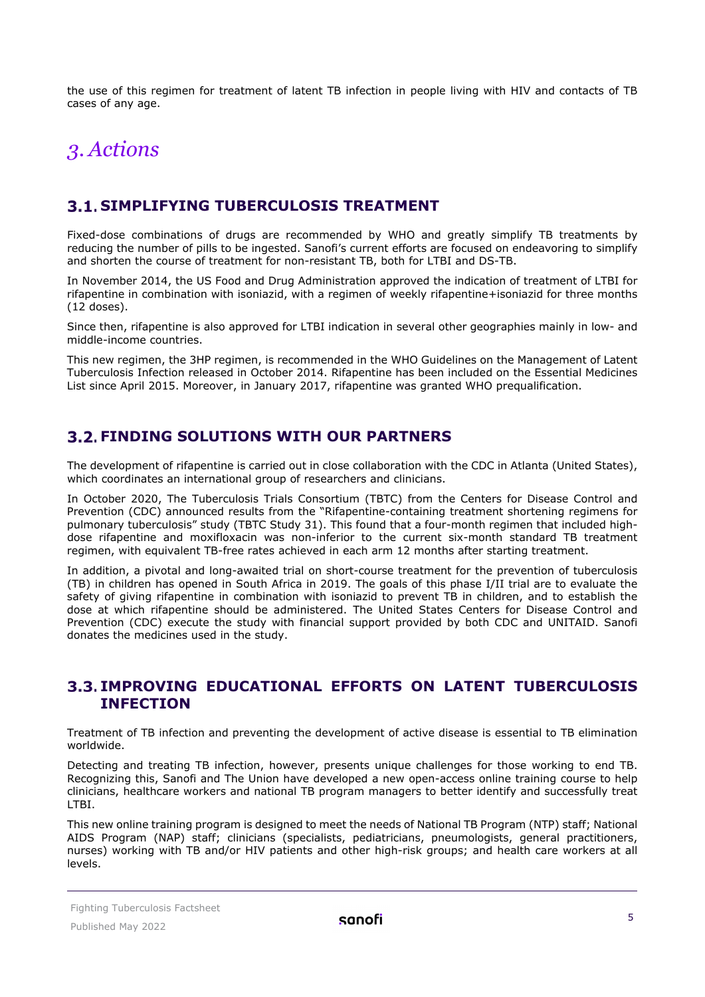the use of this regimen for treatment of latent TB infection in people living with HIV and contacts of TB cases of any age.

## <span id="page-4-0"></span>*3. Actions*

## <span id="page-4-1"></span>**SIMPLIFYING TUBERCULOSIS TREATMENT**

Fixed-dose combinations of drugs are recommended by WHO and greatly simplify TB treatments by reducing the number of pills to be ingested. Sanofi's current efforts are focused on endeavoring to simplify and shorten the course of treatment for non-resistant TB, both for LTBI and DS-TB.

In November 2014, the US Food and Drug Administration approved the indication of treatment of LTBI for rifapentine in combination with isoniazid, with a regimen of weekly rifapentine+isoniazid for three months (12 doses).

Since then, rifapentine is also approved for LTBI indication in several other geographies mainly in low- and middle-income countries.

This new regimen, the 3HP regimen, is recommended in the WHO Guidelines on the Management of Latent Tuberculosis Infection released in October 2014. Rifapentine has been included on the Essential Medicines List since April 2015. Moreover, in January 2017, rifapentine was granted WHO prequalification.

## <span id="page-4-2"></span>**FINDING SOLUTIONS WITH OUR PARTNERS**

The development of rifapentine is carried out in close collaboration with the CDC in Atlanta (United States), which coordinates an international group of researchers and clinicians.

In October 2020, The Tuberculosis Trials Consortium (TBTC) from the Centers for Disease Control and Prevention (CDC) announced results from the "Rifapentine-containing treatment shortening regimens for pulmonary tuberculosis" study (TBTC Study 31). This found that a four-month regimen that included highdose rifapentine and moxifloxacin was non-inferior to the current six-month standard TB treatment regimen, with equivalent TB-free rates achieved in each arm 12 months after starting treatment.

In addition, a pivotal and long-awaited trial on short-course treatment for the prevention of tuberculosis (TB) in children has opened in South Africa in 2019. The goals of this phase I/II trial are to evaluate the safety of giving rifapentine in combination with isoniazid to prevent TB in children, and to establish the dose at which rifapentine should be administered. The United States Centers for Disease Control and Prevention (CDC) execute the study with financial support provided by both CDC and UNITAID. Sanofi donates the medicines used in the study.

#### <span id="page-4-3"></span>**IMPROVING EDUCATIONAL EFFORTS ON LATENT TUBERCULOSIS INFECTION**

Treatment of TB infection and preventing the development of active disease is essential to TB elimination worldwide.

Detecting and treating TB infection, however, presents unique challenges for those working to end TB. Recognizing this, Sanofi and The Union have developed a new open-access online training course to help clinicians, healthcare workers and national TB program managers to better identify and successfully treat LTBI.

This new online training program is designed to meet the needs of National TB Program (NTP) staff; National AIDS Program (NAP) staff; clinicians (specialists, pediatricians, pneumologists, general practitioners, nurses) working with TB and/or HIV patients and other high-risk groups; and health care workers at all levels.

#### Fighting Tuberculosis Factsheet